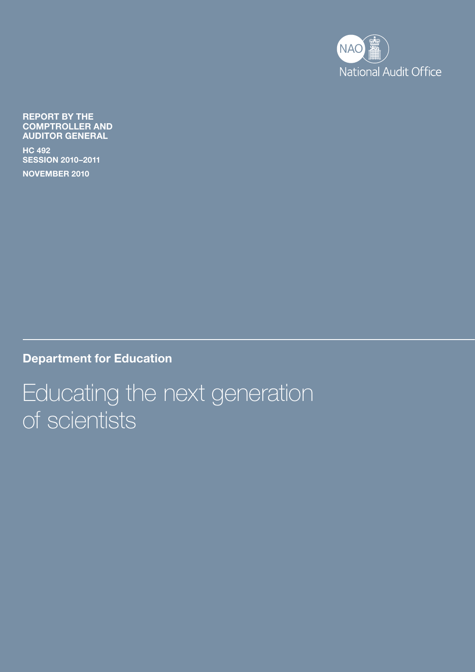

Report by the Comptroller and Auditor General

HC 492 SesSIon 2010–2011

november 2010

Department for Education

Educating the next generation of scientists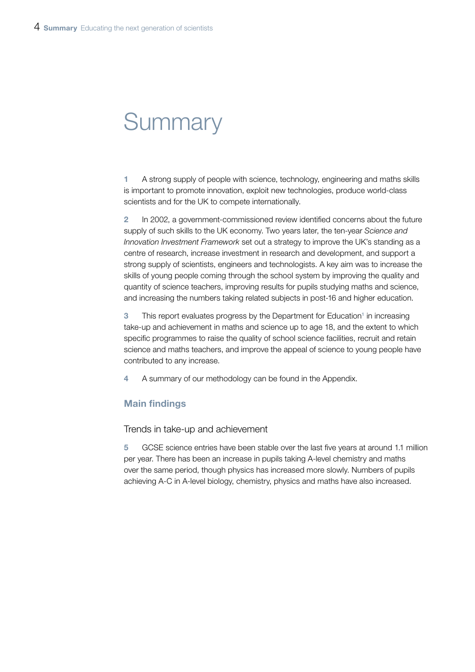# **Summary**

1 A strong supply of people with science, technology, engineering and maths skills is important to promote innovation, exploit new technologies, produce world-class scientists and for the UK to compete internationally.

2 In 2002, a government-commissioned review identified concerns about the future supply of such skills to the UK economy. Two years later, the ten-year *Science and Innovation Investment Framework* set out a strategy to improve the UK's standing as a centre of research, increase investment in research and development, and support a strong supply of scientists, engineers and technologists. A key aim was to increase the skills of young people coming through the school system by improving the quality and quantity of science teachers, improving results for pupils studying maths and science, and increasing the numbers taking related subjects in post-16 and higher education.

3 This report evaluates progress by the Department for Education<sup>1</sup> in increasing take-up and achievement in maths and science up to age 18, and the extent to which specific programmes to raise the quality of school science facilities, recruit and retain science and maths teachers, and improve the appeal of science to young people have contributed to any increase.

4 A summary of our methodology can be found in the Appendix.

# Main findings

Trends in take-up and achievement

5 GCSE science entries have been stable over the last five years at around 1.1 million per year. There has been an increase in pupils taking A-level chemistry and maths over the same period, though physics has increased more slowly. Numbers of pupils achieving A-C in A-level biology, chemistry, physics and maths have also increased.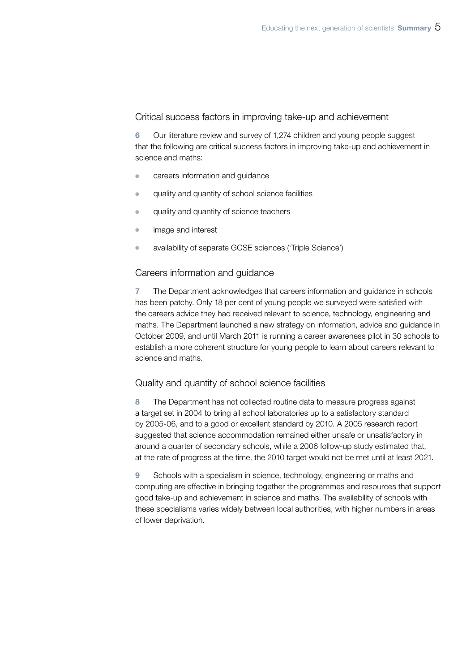#### Critical success factors in improving take-up and achievement

6 Our literature review and survey of 1,274 children and young people suggest that the following are critical success factors in improving take-up and achievement in science and maths:

- careers information and guidance
- <sup>¬</sup> quality and quantity of school science facilities
- quality and quantity of science teachers
- **•** image and interest
- <sup>¬</sup> availability of separate GCSE sciences ('Triple Science')

# Careers information and guidance

7 The Department acknowledges that careers information and guidance in schools has been patchy. Only 18 per cent of young people we surveyed were satisfied with the careers advice they had received relevant to science, technology, engineering and maths. The Department launched a new strategy on information, advice and guidance in October 2009, and until March 2011 is running a career awareness pilot in 30 schools to establish a more coherent structure for young people to learn about careers relevant to science and maths.

# Quality and quantity of school science facilities

8 The Department has not collected routine data to measure progress against a target set in 2004 to bring all school laboratories up to a satisfactory standard by 2005-06, and to a good or excellent standard by 2010. A 2005 research report suggested that science accommodation remained either unsafe or unsatisfactory in around a quarter of secondary schools, while a 2006 follow-up study estimated that, at the rate of progress at the time, the 2010 target would not be met until at least 2021.

9 Schools with a specialism in science, technology, engineering or maths and computing are effective in bringing together the programmes and resources that support good take-up and achievement in science and maths. The availability of schools with these specialisms varies widely between local authorities, with higher numbers in areas of lower deprivation.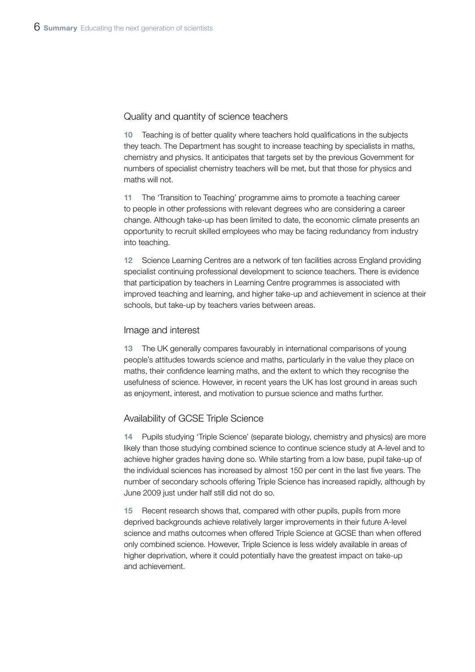### Quality and quantity of science teachers

10 Teaching is of better quality where teachers hold qualifications in the subjects they teach. The Department has sought to increase teaching by specialists in maths, chemistry and physics. It anticipates that targets set by the previous Government for numbers of specialist chemistry teachers will be met, but that those for physics and maths will not.

11 The 'Transition to Teaching' programme aims to promote a teaching career to people in other professions with relevant degrees who are considering a career change. Although take-up has been limited to date, the economic climate presents an opportunity to recruit skilled employees who may be facing redundancy from industry into teaching.

12 Science Learning Centres are a network of ten facilities across England providing specialist continuing professional development to science teachers. There is evidence that participation by teachers in Learning Centre programmes is associated with improved teaching and learning, and higher take-up and achievement in science at their schools, but take-up by teachers varies between areas.

#### Image and interest

13 The UK generally compares favourably in international comparisons of young people's attitudes towards science and maths, particularly in the value they place on maths, their confidence learning maths, and the extent to which they recognise the usefulness of science. However, in recent years the UK has lost ground in areas such as enjoyment, interest, and motivation to pursue science and maths further.

#### Availability of GCSE Triple Science

14 Pupils studying 'Triple Science' (separate biology, chemistry and physics) are more likely than those studying combined science to continue science study at A-level and to achieve higher grades having done so. While starting from a low base, pupil take-up of the individual sciences has increased by almost 150 per cent in the last five years. The number of secondary schools offering Triple Science has increased rapidly, although by June 2009 just under half still did not do so.

Recent research shows that, compared with other pupils, pupils from more deprived backgrounds achieve relatively larger improvements in their future A-level science and maths outcomes when offered Triple Science at GCSE than when offered only combined science. However, Triple Science is less widely available in areas of higher deprivation, where it could potentially have the greatest impact on take-up and achievement.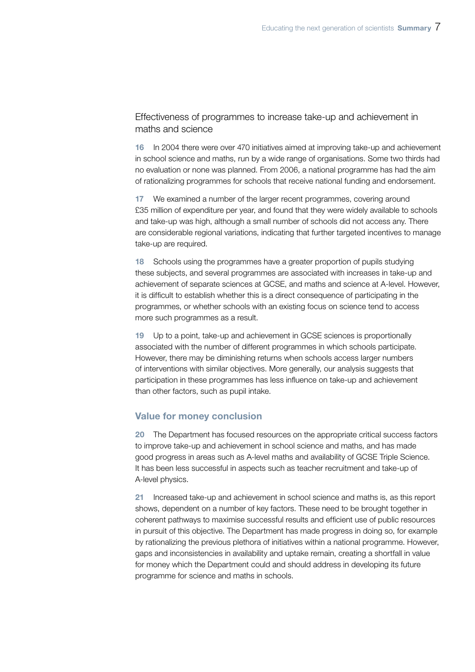Effectiveness of programmes to increase take-up and achievement in maths and science

16 In 2004 there were over 470 initiatives aimed at improving take-up and achievement in school science and maths, run by a wide range of organisations. Some two thirds had no evaluation or none was planned. From 2006, a national programme has had the aim of rationalizing programmes for schools that receive national funding and endorsement.

17 We examined a number of the larger recent programmes, covering around £35 million of expenditure per year, and found that they were widely available to schools and take-up was high, although a small number of schools did not access any. There are considerable regional variations, indicating that further targeted incentives to manage take-up are required.

18 Schools using the programmes have a greater proportion of pupils studying these subjects, and several programmes are associated with increases in take-up and achievement of separate sciences at GCSE, and maths and science at A-level. However, it is difficult to establish whether this is a direct consequence of participating in the programmes, or whether schools with an existing focus on science tend to access more such programmes as a result.

19 Up to a point, take-up and achievement in GCSE sciences is proportionally associated with the number of different programmes in which schools participate. However, there may be diminishing returns when schools access larger numbers of interventions with similar objectives. More generally, our analysis suggests that participation in these programmes has less influence on take-up and achievement than other factors, such as pupil intake.

#### Value for money conclusion

20 The Department has focused resources on the appropriate critical success factors to improve take-up and achievement in school science and maths, and has made good progress in areas such as A-level maths and availability of GCSE Triple Science. It has been less successful in aspects such as teacher recruitment and take-up of A-level physics.

21 Increased take-up and achievement in school science and maths is, as this report shows, dependent on a number of key factors. These need to be brought together in coherent pathways to maximise successful results and efficient use of public resources in pursuit of this objective. The Department has made progress in doing so, for example by rationalizing the previous plethora of initiatives within a national programme. However, gaps and inconsistencies in availability and uptake remain, creating a shortfall in value for money which the Department could and should address in developing its future programme for science and maths in schools.